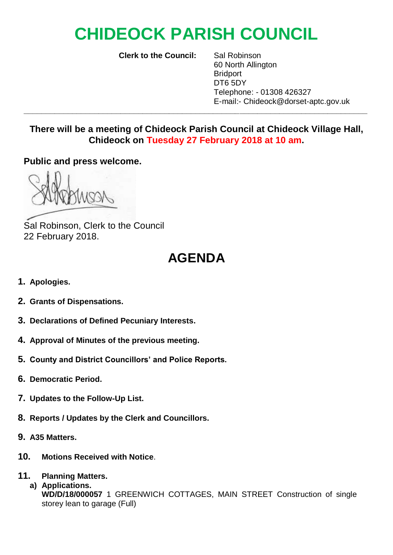## **CHIDEOCK PARISH COUNCIL**

**Clerk to the Council:** Sal Robinson

60 North Allington Bridport DT6 5DY Telephone: - 01308 426327 E-mail:- Chideock@dorset-aptc.gov.uk

**There will be a meeting of Chideock Parish Council at Chideock Village Hall, Chideock on Tuesday 27 February 2018 at 10 am.**

**\_\_\_\_\_\_\_\_\_\_\_\_\_\_\_\_\_\_\_\_\_\_\_\_\_\_\_\_\_\_\_\_\_\_\_\_\_\_\_\_\_\_\_\_\_\_\_\_\_\_\_\_\_\_\_\_\_\_\_\_\_\_\_\_\_\_\_\_\_\_\_\_\_\_\_\_\_\_**

**Public and press welcome.**

Sal Robinson, Clerk to the Council 22 February 2018.

## **AGENDA**

- **1. Apologies.**
- **2. Grants of Dispensations.**
- **3. Declarations of Defined Pecuniary Interests.**
- **4. Approval of Minutes of the previous meeting.**
- **5. County and District Councillors' and Police Reports.**
- **6. Democratic Period.**
- **7. Updates to the Follow-Up List.**
- **8. Reports / Updates by the Clerk and Councillors.**
- **9. A35 Matters.**
- **10. Motions Received with Notice**.
- **11. Planning Matters.**
	- **a) Applications. WD/D/18/000057** 1 GREENWICH COTTAGES, MAIN STREET Construction of single storey lean to garage (Full)